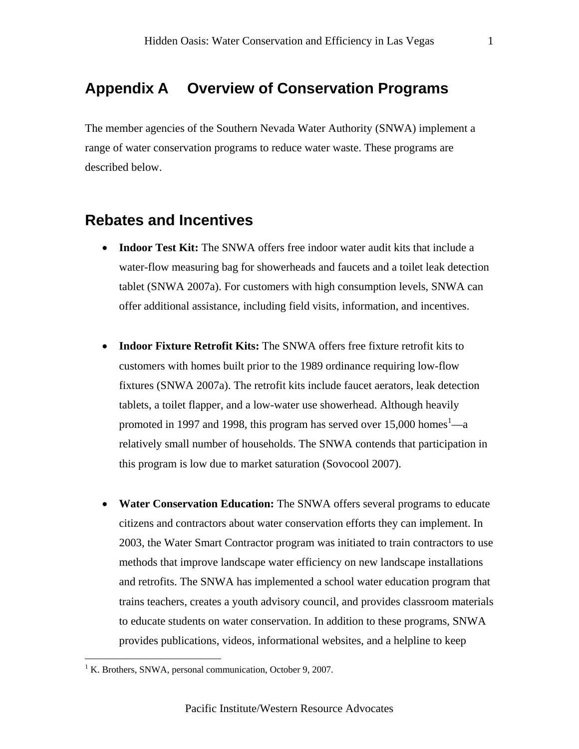## **Appendix A Overview of Conservation Programs**

The member agencies of the Southern Nevada Water Authority (SNWA) implement a range of water conservation programs to reduce water waste. These programs are described below.

## **Rebates and Incentives**

- **Indoor Test Kit:** The SNWA offers free indoor water audit kits that include a water-flow measuring bag for showerheads and faucets and a toilet leak detection tablet (SNWA 2007a). For customers with high consumption levels, SNWA can offer additional assistance, including field visits, information, and incentives.
- **Indoor Fixture Retrofit Kits:** The SNWA offers free fixture retrofit kits to customers with homes built prior to the 1989 ordinance requiring low-flow fixtures (SNWA 2007a). The retrofit kits include faucet aerators, leak detection tablets, a toilet flapper, and a low-water use showerhead. Although heavily promoted in 1997 and 1998, this program has served over 15,000 homes<sup>1</sup>—a relatively small number of households. The SNWA contends that participation in this program is low due to market saturation (Sovocool 2007).
- **Water Conservation Education:** The SNWA offers several programs to educate citizens and contractors about water conservation efforts they can implement. In 2003, the Water Smart Contractor program was initiated to train contractors to use methods that improve landscape water efficiency on new landscape installations and retrofits. The SNWA has implemented a school water education program that trains teachers, creates a youth advisory council, and provides classroom materials to educate students on water conservation. In addition to these programs, SNWA provides publications, videos, informational websites, and a helpline to keep

 $\overline{a}$ 

<sup>&</sup>lt;sup>1</sup> K. Brothers, SNWA, personal communication, October 9, 2007.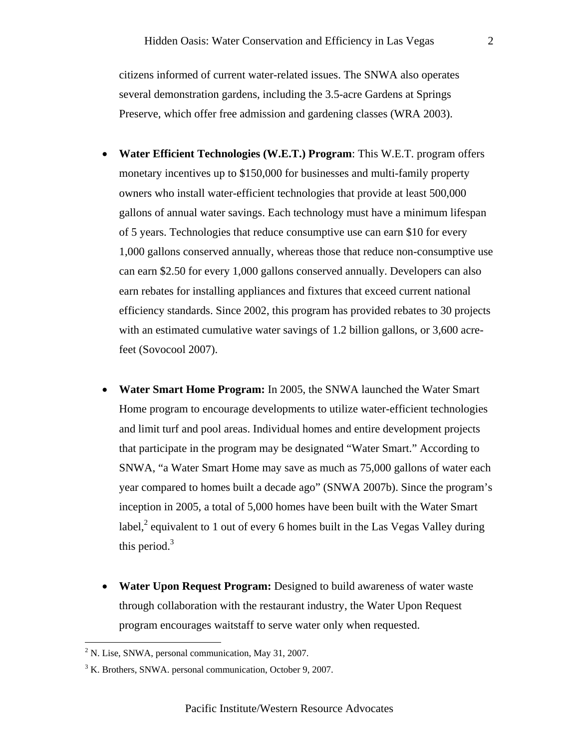citizens informed of current water-related issues. The SNWA also operates several demonstration gardens, including the 3.5-acre Gardens at Springs Preserve, which offer free admission and gardening classes (WRA 2003).

- **Water Efficient Technologies (W.E.T.) Program**: This W.E.T. program offers monetary incentives up to \$150,000 for businesses and multi-family property owners who install water-efficient technologies that provide at least 500,000 gallons of annual water savings. Each technology must have a minimum lifespan of 5 years. Technologies that reduce consumptive use can earn \$10 for every 1,000 gallons conserved annually, whereas those that reduce non-consumptive use can earn \$2.50 for every 1,000 gallons conserved annually. Developers can also earn rebates for installing appliances and fixtures that exceed current national efficiency standards. Since 2002, this program has provided rebates to 30 projects with an estimated cumulative water savings of 1.2 billion gallons, or 3,600 acrefeet (Sovocool 2007).
- **Water Smart Home Program:** In 2005, the SNWA launched the Water Smart Home program to encourage developments to utilize water-efficient technologies and limit turf and pool areas. Individual homes and entire development projects that participate in the program may be designated "Water Smart." According to SNWA, "a Water Smart Home may save as much as 75,000 gallons of water each year compared to homes built a decade ago" (SNWA 2007b). Since the program's inception in 2005, a total of 5,000 homes have been built with the Water Smart label, $^2$  equivalent to 1 out of every 6 homes built in the Las Vegas Valley during this period. $3$
- **Water Upon Request Program:** Designed to build awareness of water waste through collaboration with the restaurant industry, the Water Upon Request program encourages waitstaff to serve water only when requested.

1

 $2^2$  N. Lise, SNWA, personal communication, May 31, 2007.

<sup>&</sup>lt;sup>3</sup> K. Brothers, SNWA. personal communication, October 9, 2007.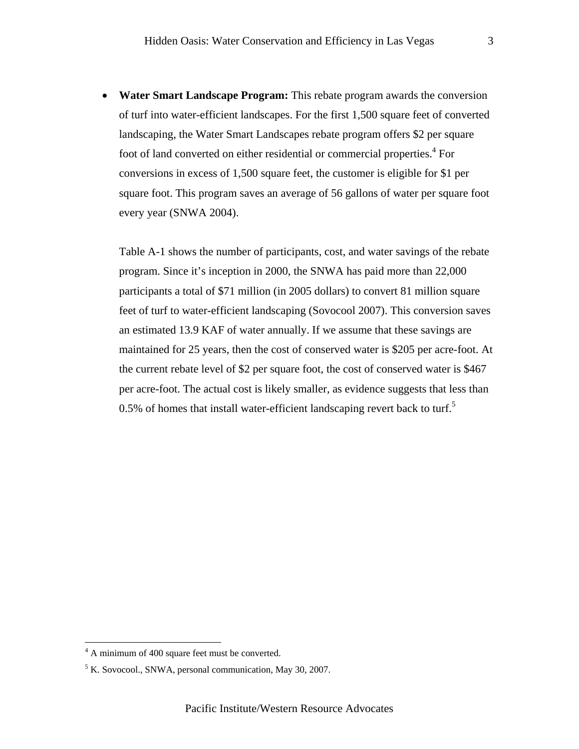• **Water Smart Landscape Program:** This rebate program awards the conversion of turf into water-efficient landscapes. For the first 1,500 square feet of converted landscaping, the Water Smart Landscapes rebate program offers \$2 per square foot of land converted on either residential or commercial properties.<sup>4</sup> For conversions in excess of 1,500 square feet, the customer is eligible for \$1 per square foot. This program saves an average of 56 gallons of water per square foot every year (SNWA 2004).

Table A-1 shows the number of participants, cost, and water savings of the rebate program. Since it's inception in 2000, the SNWA has paid more than 22,000 participants a total of \$71 million (in 2005 dollars) to convert 81 million square feet of turf to water-efficient landscaping (Sovocool 2007). This conversion saves an estimated 13.9 KAF of water annually. If we assume that these savings are maintained for 25 years, then the cost of conserved water is \$205 per acre-foot. At the current rebate level of \$2 per square foot, the cost of conserved water is \$467 per acre-foot. The actual cost is likely smaller, as evidence suggests that less than 0.5% of homes that install water-efficient landscaping revert back to turf.<sup>5</sup>

 4 A minimum of 400 square feet must be converted.

<sup>&</sup>lt;sup>5</sup> K. Sovocool., SNWA, personal communication, May 30, 2007.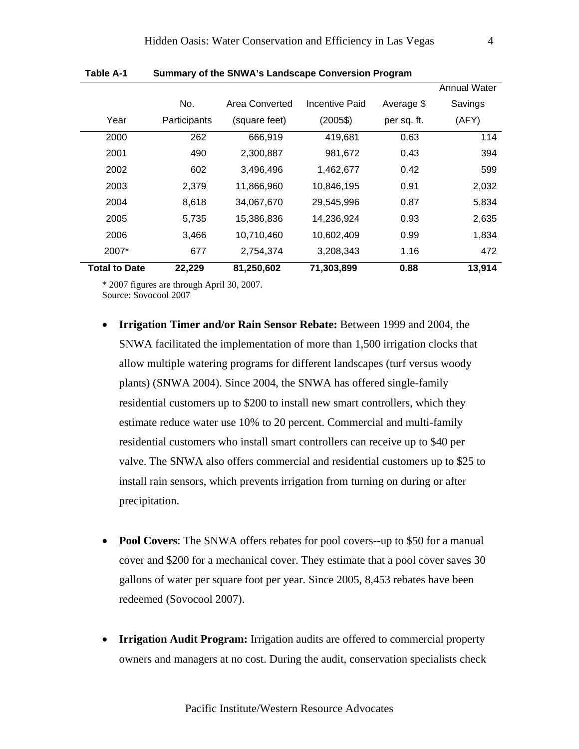|                      |              |                |                |             | <b>Annual Water</b> |
|----------------------|--------------|----------------|----------------|-------------|---------------------|
|                      | No.          | Area Converted | Incentive Paid | Average \$  | Savings             |
| Year                 | Participants | (square feet)  | $(2005\$       | per sq. ft. | (AFY)               |
| 2000                 | 262          | 666,919        | 419,681        | 0.63        | 114                 |
| 2001                 | 490          | 2,300,887      | 981,672        | 0.43        | 394                 |
| 2002                 | 602          | 3,496,496      | 1,462,677      | 0.42        | 599                 |
| 2003                 | 2,379        | 11,866,960     | 10,846,195     | 0.91        | 2,032               |
| 2004                 | 8,618        | 34,067,670     | 29,545,996     | 0.87        | 5,834               |
| 2005                 | 5,735        | 15,386,836     | 14,236,924     | 0.93        | 2,635               |
| 2006                 | 3,466        | 10,710,460     | 10,602,409     | 0.99        | 1,834               |
| 2007*                | 677          | 2,754,374      | 3,208,343      | 1.16        | 472                 |
| <b>Total to Date</b> | 22,229       | 81,250,602     | 71,303,899     | 0.88        | 13,914              |

**Table A-1 Summary of the SNWA's Landscape Conversion Program** 

\* 2007 figures are through April 30, 2007.

Source: Sovocool 2007

- **Irrigation Timer and/or Rain Sensor Rebate:** Between 1999 and 2004, the SNWA facilitated the implementation of more than 1,500 irrigation clocks that allow multiple watering programs for different landscapes (turf versus woody plants) (SNWA 2004). Since 2004, the SNWA has offered single-family residential customers up to \$200 to install new smart controllers, which they estimate reduce water use 10% to 20 percent. Commercial and multi-family residential customers who install smart controllers can receive up to \$40 per valve. The SNWA also offers commercial and residential customers up to \$25 to install rain sensors, which prevents irrigation from turning on during or after precipitation.
- **Pool Covers**: The SNWA offers rebates for pool covers--up to \$50 for a manual cover and \$200 for a mechanical cover. They estimate that a pool cover saves 30 gallons of water per square foot per year. Since 2005, 8,453 rebates have been redeemed (Sovocool 2007).
- **Irrigation Audit Program:** Irrigation audits are offered to commercial property owners and managers at no cost. During the audit, conservation specialists check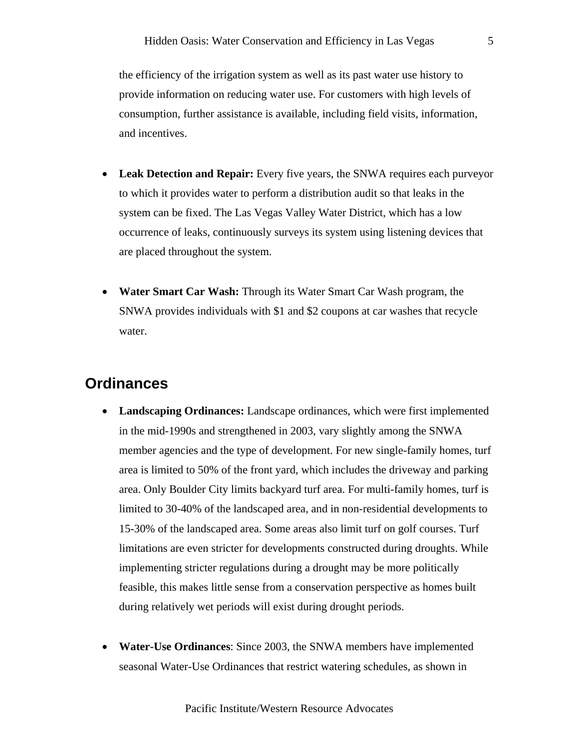the efficiency of the irrigation system as well as its past water use history to provide information on reducing water use. For customers with high levels of consumption, further assistance is available, including field visits, information, and incentives.

- **Leak Detection and Repair:** Every five years, the SNWA requires each purveyor to which it provides water to perform a distribution audit so that leaks in the system can be fixed. The Las Vegas Valley Water District, which has a low occurrence of leaks, continuously surveys its system using listening devices that are placed throughout the system.
- **Water Smart Car Wash:** Through its Water Smart Car Wash program, the SNWA provides individuals with \$1 and \$2 coupons at car washes that recycle water.

## **Ordinances**

- **Landscaping Ordinances:** Landscape ordinances, which were first implemented in the mid-1990s and strengthened in 2003, vary slightly among the SNWA member agencies and the type of development. For new single-family homes, turf area is limited to 50% of the front yard, which includes the driveway and parking area. Only Boulder City limits backyard turf area. For multi-family homes, turf is limited to 30-40% of the landscaped area, and in non-residential developments to 15-30% of the landscaped area. Some areas also limit turf on golf courses. Turf limitations are even stricter for developments constructed during droughts. While implementing stricter regulations during a drought may be more politically feasible, this makes little sense from a conservation perspective as homes built during relatively wet periods will exist during drought periods.
- **Water-Use Ordinances**: Since 2003, the SNWA members have implemented seasonal Water-Use Ordinances that restrict watering schedules, as shown in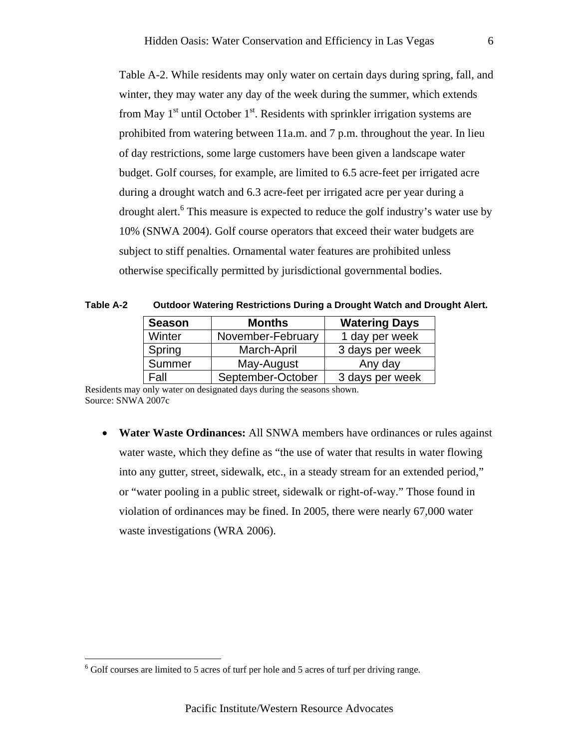Table A-2. While residents may only water on certain days during spring, fall, and winter, they may water any day of the week during the summer, which extends from May  $1<sup>st</sup>$  until October  $1<sup>st</sup>$ . Residents with sprinkler irrigation systems are prohibited from watering between 11a.m. and 7 p.m. throughout the year. In lieu of day restrictions, some large customers have been given a landscape water budget. Golf courses, for example, are limited to 6.5 acre-feet per irrigated acre during a drought watch and 6.3 acre-feet per irrigated acre per year during a drought alert.<sup>6</sup> This measure is expected to reduce the golf industry's water use by 10% (SNWA 2004). Golf course operators that exceed their water budgets are subject to stiff penalties. Ornamental water features are prohibited unless otherwise specifically permitted by jurisdictional governmental bodies.

| <b>Season</b> | <b>Months</b>     | <b>Watering Days</b> |
|---------------|-------------------|----------------------|
| Winter        | November-February | 1 day per week       |
| Spring        | March-April       | 3 days per week      |
| Summer        | May-August        | Any day              |
| Fall          | September-October | 3 days per week      |

**Table A-2 Outdoor Watering Restrictions During a Drought Watch and Drought Alert.** 

Residents may only water on designated days during the seasons shown. Source: SNWA 2007c

• **Water Waste Ordinances:** All SNWA members have ordinances or rules against water waste, which they define as "the use of water that results in water flowing into any gutter, street, sidewalk, etc., in a steady stream for an extended period," or "water pooling in a public street, sidewalk or right-of-way." Those found in violation of ordinances may be fined. In 2005, there were nearly 67,000 water waste investigations (WRA 2006).

<u>.</u>

 $6$  Golf courses are limited to 5 acres of turf per hole and 5 acres of turf per driving range.